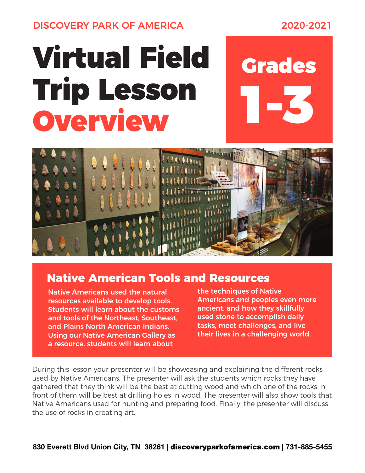DISCOVERY PARK OF AMERICA 2020-2021

## Virtual Field Trip Lesson Overview

# 1-3 Grades



#### **Native American Tools and Resources**

Native Americans used the natural resources available to develop tools. Students will learn about the customs and tools of the Northeast, Southeast, and Plains North American Indians. Using our Native American Gallery as a resource, students will learn about

the techniques of Native Americans and peoples even more ancient, and how they skillfully used stone to accomplish daily tasks, meet challenges, and live their lives in a challenging world.

During this lesson your presenter will be showcasing and explaining the different rocks used by Native Americans. The presenter will ask the students which rocks they have gathered that they think will be the best at cutting wood and which one of the rocks in front of them will be best at drilling holes in wood. The presenter will also show tools that Native Americans used for hunting and preparing food. Finally, the presenter will discuss the use of rocks in creating art.